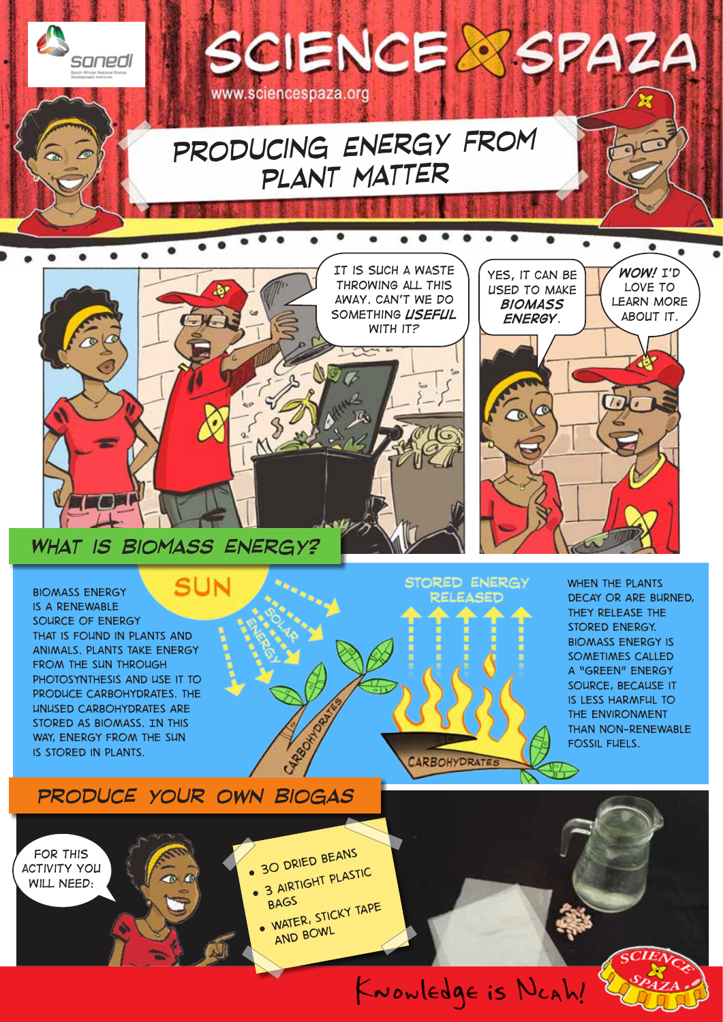

*What is biomass energy?*

SUN *Biomass energy is a renewable source of energy that is found in plants and animals. Plants take energy from the sun through photosynthesis and use it to produce carbohydrates. The unused carbohydrates are stored as biomass. In this way, energy from the sun is stored in plants.* 

**CARBOHYDRATES** 

**STORED ENERGY** RELEASED

*When the plants decay or are burned, they release the stored energy. Biomass energy is sometimes called a "green" energy source, because it is less harmful to the environment than non-renewable fossil fuels.*

### *Produce your own biogas*

*For this activity you will need:*

 $\bullet$ 

*30 dried beans* 

CARBOTADOR

- *3 airtight plastic*
- *bags water, sticky tape*

*and bowl*

KNOWLEDge is NCAh!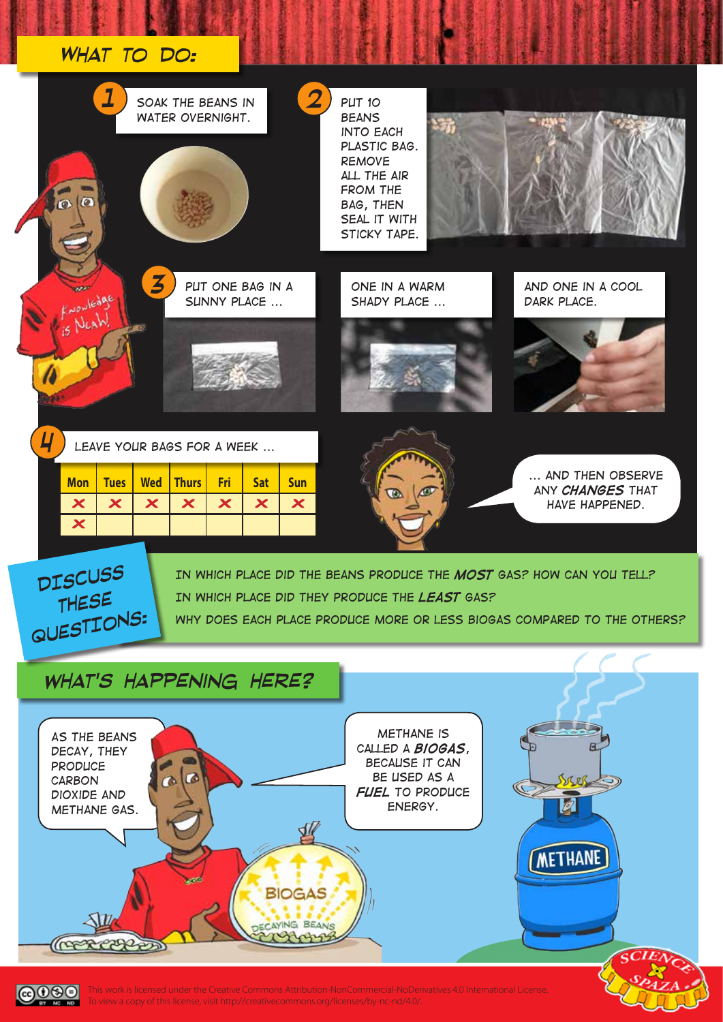#### *What to do:*

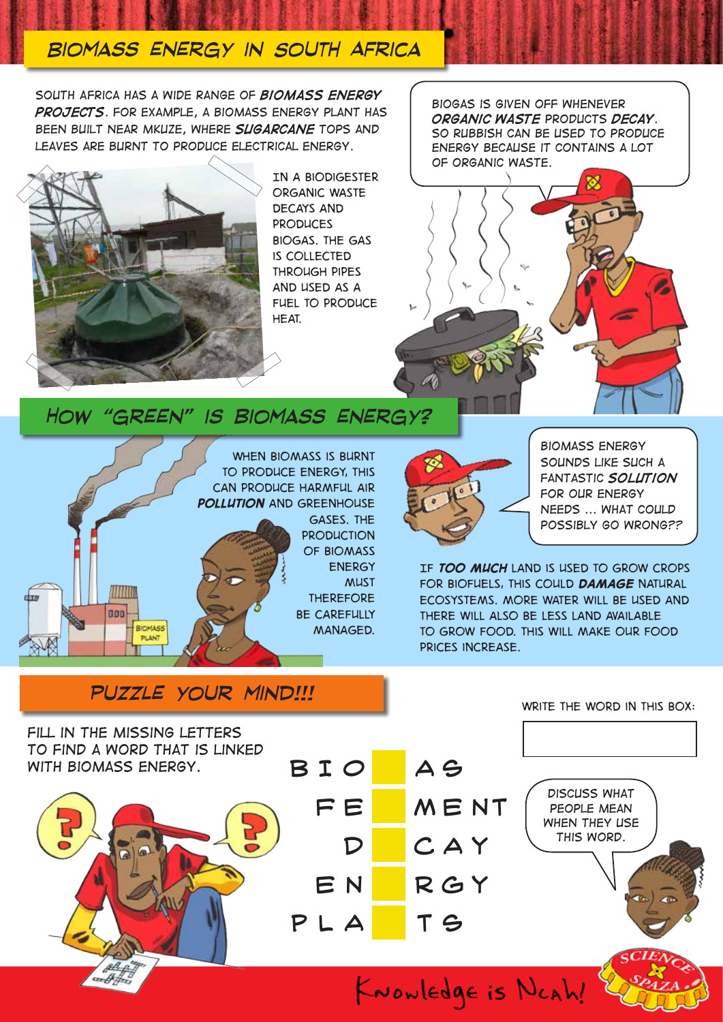# *Biomass energy in South Africa*

*South Africa has a wide range of biomass energy projects. For example, a biomass energy plant has been built near Mkuze, where sugarcane tops and leaves are burnt to produce electrical energy.* 



MM

**BIOMASS** PLANT

000

chan

*In a biodigester organic waste decays and produces biogas. The gas is collected through pipes and used as a fuel to produce heat.*

*Biogas is given off whenever organic waste products decay. So rubbish can be used to produce energy because it contains a lot of organic waste.*



*How "green" is biomass energy?*

*When biomass is burnt to produce energy, this can produce harmful air pollution and greenhouse*  GASES. THE *production of biomass energy* 

> *must therefore be carefully managed.*



*biomass energy sounds like such a fantastic solution for our energy needs ... what could possibly go wrong??*

*If too much land is used to grow crops for biofuels, this could damage natural ecosystems. More water will be used and there will also be less land available to grow food. This will make our food prices increase.* 

### *puzzle your mind!!!*